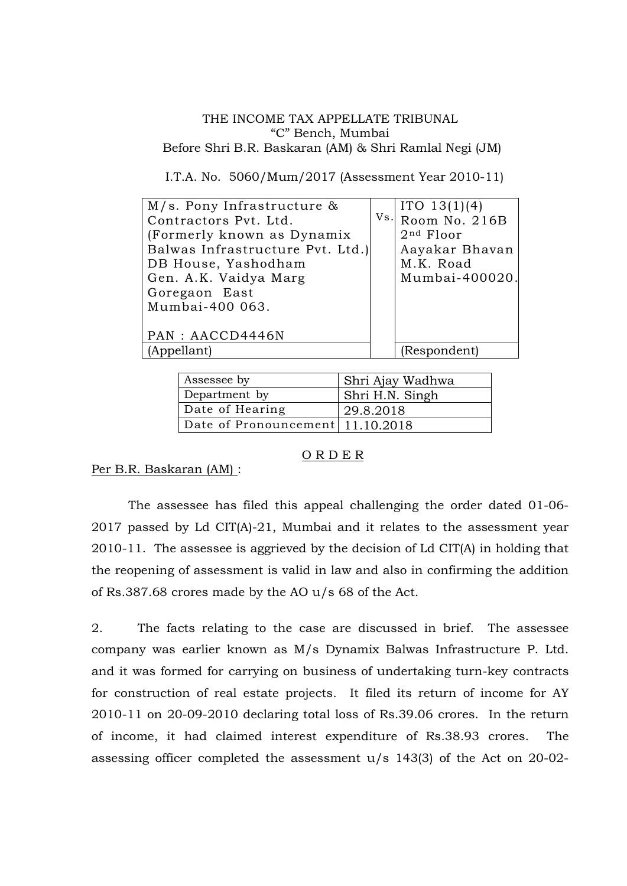### THE INCOME TAX APPELLATE TRIBUNAL "C" Bench, Mumbai Before Shri B.R. Baskaran (AM) & Shri Ramlal Negi (JM)

I.T.A. No. 5060/Mum/2017 (Assessment Year 2010-11)

| $M/s$ . Pony Infrastructure &    | ITO $13(1)(4)$    |
|----------------------------------|-------------------|
| Contractors Pvt. Ltd.            | Vs. Room No. 216B |
| (Formerly known as Dynamix       | $2nd$ Floor       |
| Balwas Infrastructure Pvt. Ltd.) | Aayakar Bhavan    |
| DB House, Yashodham              | M.K. Road         |
| Gen. A.K. Vaidya Marg            | Mumbai-400020.    |
| Goregaon East                    |                   |
| Mumbai-400 063.                  |                   |
|                                  |                   |
| PAN : AACCD4446N                 |                   |
| (Appellant)                      | (Respondent)      |
|                                  |                   |

| Assessee by                      | Shri Ajay Wadhwa |
|----------------------------------|------------------|
| Department by                    | Shri H.N. Singh  |
| Date of Hearing                  | 29.8.2018        |
| Date of Pronouncement 11.10.2018 |                  |

# O R D E R

Per B.R. Baskaran (AM) :

The assessee has filed this appeal challenging the order dated 01-06- 2017 passed by Ld CIT(A)-21, Mumbai and it relates to the assessment year 2010-11. The assessee is aggrieved by the decision of Ld CIT(A) in holding that the reopening of assessment is valid in law and also in confirming the addition of Rs.387.68 crores made by the AO u/s 68 of the Act.

2. The facts relating to the case are discussed in brief. The assessee company was earlier known as M/s Dynamix Balwas Infrastructure P. Ltd. and it was formed for carrying on business of undertaking turn-key contracts for construction of real estate projects. It filed its return of income for AY 2010-11 on 20-09-2010 declaring total loss of Rs.39.06 crores. In the return of income, it had claimed interest expenditure of Rs.38.93 crores. The assessing officer completed the assessment u/s 143(3) of the Act on 20-02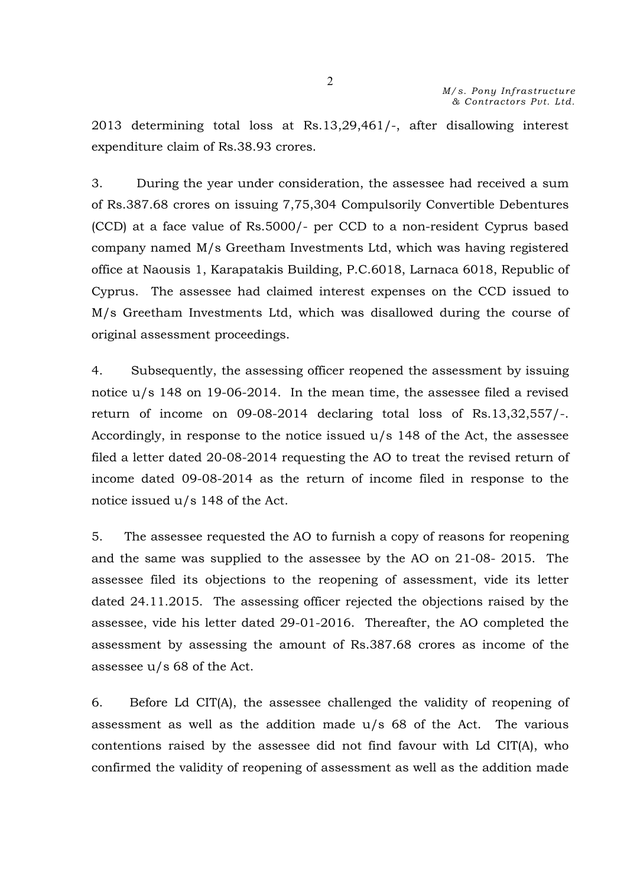2013 determining total loss at Rs.13,29,461/-, after disallowing interest expenditure claim of Rs.38.93 crores.

3. During the year under consideration, the assessee had received a sum of Rs.387.68 crores on issuing 7,75,304 Compulsorily Convertible Debentures (CCD) at a face value of Rs.5000/- per CCD to a non-resident Cyprus based company named M/s Greetham Investments Ltd, which was having registered office at Naousis 1, Karapatakis Building, P.C.6018, Larnaca 6018, Republic of Cyprus. The assessee had claimed interest expenses on the CCD issued to M/s Greetham Investments Ltd, which was disallowed during the course of original assessment proceedings.

4. Subsequently, the assessing officer reopened the assessment by issuing notice u/s 148 on 19-06-2014. In the mean time, the assessee filed a revised return of income on 09-08-2014 declaring total loss of Rs.13,32,557/-. Accordingly, in response to the notice issued u/s 148 of the Act, the assessee filed a letter dated 20-08-2014 requesting the AO to treat the revised return of income dated 09-08-2014 as the return of income filed in response to the notice issued u/s 148 of the Act.

5. The assessee requested the AO to furnish a copy of reasons for reopening and the same was supplied to the assessee by the AO on 21-08- 2015. The assessee filed its objections to the reopening of assessment, vide its letter dated 24.11.2015. The assessing officer rejected the objections raised by the assessee, vide his letter dated 29-01-2016. Thereafter, the AO completed the assessment by assessing the amount of Rs.387.68 crores as income of the assessee u/s 68 of the Act.

6. Before Ld CIT(A), the assessee challenged the validity of reopening of assessment as well as the addition made u/s 68 of the Act. The various contentions raised by the assessee did not find favour with Ld CIT(A), who confirmed the validity of reopening of assessment as well as the addition made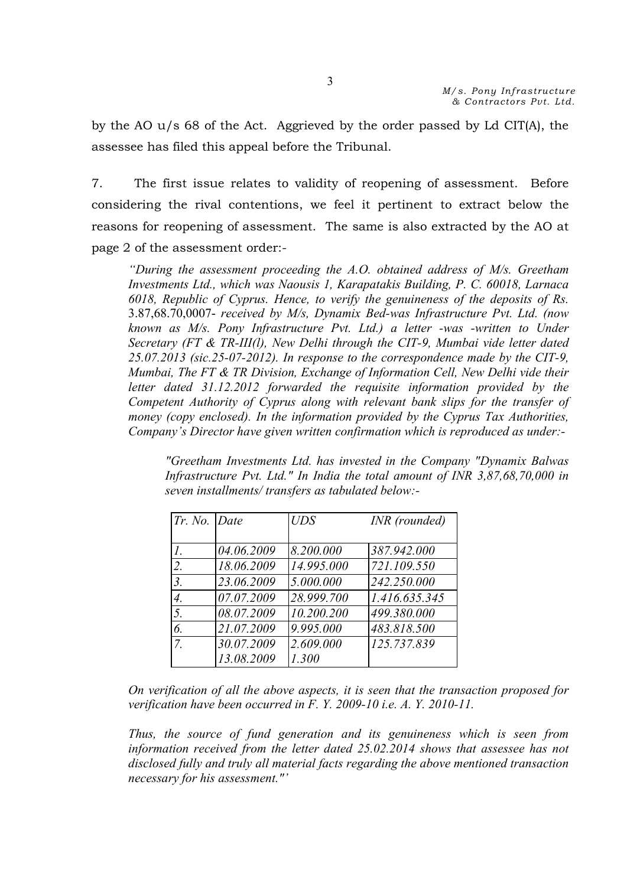by the AO u/s 68 of the Act. Aggrieved by the order passed by Ld CIT(A), the assessee has filed this appeal before the Tribunal.

7. The first issue relates to validity of reopening of assessment. Before considering the rival contentions, we feel it pertinent to extract below the reasons for reopening of assessment. The same is also extracted by the AO at page 2 of the assessment order:-

*"During the assessment proceeding the A.O. obtained address of M/s. Greetham Investments Ltd., which was Naousis 1, Karapatakis Building, P. C. 60018, Larnaca 6018, Republic of Cyprus. Hence, to verify the genuineness of the deposits of Rs.*  3.87,68.70,0007- *received by M/s, Dynamix Bed-was Infrastructure Pvt. Ltd. (now known as M/s. Pony Infrastructure Pvt. Ltd.) a letter -was -written to Under Secretary (FT & TR-III(l), New Delhi through the CIT-9, Mumbai vide letter dated 25.07.2013 (sic.25-07-2012). In response to the correspondence made by the CIT-9, Mumbai, The FT & TR Division, Exchange of Information Cell, New Delhi vide their letter dated 31.12.2012 forwarded the requisite information provided by the Competent Authority of Cyprus along with relevant bank slips for the transfer of money (copy enclosed). In the information provided by the Cyprus Tax Authorities, Company's Director have given written confirmation which is reproduced as under:-*

*"Greetham Investments Ltd. has invested in the Company "Dynamix Balwas Infrastructure Pvt. Ltd." In India the total amount of INR 3,87,68,70,000 in seven installments/ transfers as tabulated below:-*

| Tr. No. Date |            | $U\!DS$    | INR (rounded) |
|--------------|------------|------------|---------------|
|              |            |            |               |
| 1.           | 04.06.2009 | 8.200.000  | 387.942.000   |
| 2.           | 18.06.2009 | 14.995.000 | 721.109.550   |
| 3.           | 23.06.2009 | 5.000.000  | 242.250.000   |
| 4.           | 07.07.2009 | 28.999.700 | 1.416.635.345 |
| 5.           | 08.07.2009 | 10.200.200 | 499.380.000   |
| 6.           | 21.07.2009 | 9.995.000  | 483.818.500   |
| 7.           | 30.07.2009 | 2.609.000  | 125.737.839   |
|              | 13.08.2009 | 1.300      |               |

*On verification of all the above aspects, it is seen that the transaction proposed for verification have been occurred in F. Y. 2009-10 i.e. A. Y. 2010-11.*

*Thus, the source of fund generation and its genuineness which is seen from information received from the letter dated 25.02.2014 shows that assessee has not disclosed fully and truly all material facts regarding the above mentioned transaction necessary for his assessment."'*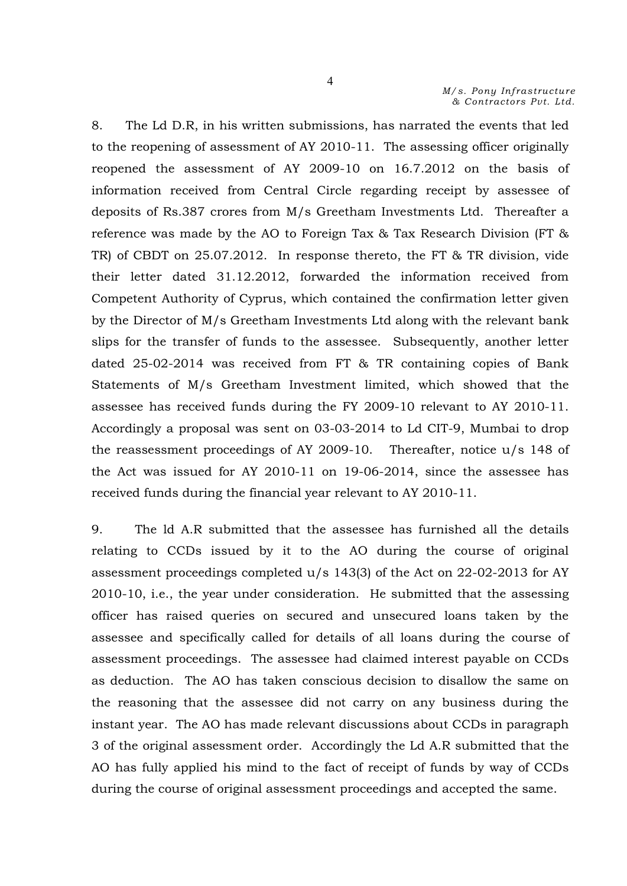8. The Ld D.R, in his written submissions, has narrated the events that led to the reopening of assessment of AY 2010-11. The assessing officer originally reopened the assessment of AY 2009-10 on 16.7.2012 on the basis of information received from Central Circle regarding receipt by assessee of deposits of Rs.387 crores from M/s Greetham Investments Ltd. Thereafter a reference was made by the AO to Foreign Tax & Tax Research Division (FT & TR) of CBDT on 25.07.2012. In response thereto, the FT & TR division, vide their letter dated 31.12.2012, forwarded the information received from Competent Authority of Cyprus, which contained the confirmation letter given by the Director of M/s Greetham Investments Ltd along with the relevant bank slips for the transfer of funds to the assessee. Subsequently, another letter dated 25-02-2014 was received from FT & TR containing copies of Bank Statements of M/s Greetham Investment limited, which showed that the assessee has received funds during the FY 2009-10 relevant to AY 2010-11. Accordingly a proposal was sent on 03-03-2014 to Ld CIT-9, Mumbai to drop the reassessment proceedings of AY 2009-10. Thereafter, notice u/s 148 of the Act was issued for AY 2010-11 on 19-06-2014, since the assessee has received funds during the financial year relevant to AY 2010-11.

9. The ld A.R submitted that the assessee has furnished all the details relating to CCDs issued by it to the AO during the course of original assessment proceedings completed  $u/s$  143(3) of the Act on 22-02-2013 for AY 2010-10, i.e., the year under consideration. He submitted that the assessing officer has raised queries on secured and unsecured loans taken by the assessee and specifically called for details of all loans during the course of assessment proceedings. The assessee had claimed interest payable on CCDs as deduction. The AO has taken conscious decision to disallow the same on the reasoning that the assessee did not carry on any business during the instant year. The AO has made relevant discussions about CCDs in paragraph 3 of the original assessment order. Accordingly the Ld A.R submitted that the AO has fully applied his mind to the fact of receipt of funds by way of CCDs during the course of original assessment proceedings and accepted the same.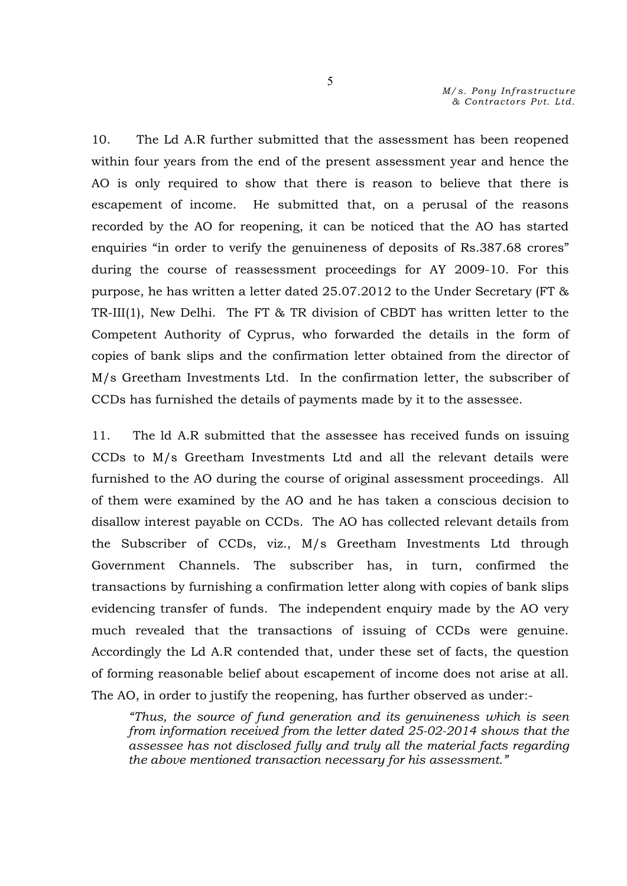10. The Ld A.R further submitted that the assessment has been reopened within four years from the end of the present assessment year and hence the AO is only required to show that there is reason to believe that there is escapement of income. He submitted that, on a perusal of the reasons recorded by the AO for reopening, it can be noticed that the AO has started enquiries "in order to verify the genuineness of deposits of Rs.387.68 crores" during the course of reassessment proceedings for AY 2009-10. For this purpose, he has written a letter dated 25.07.2012 to the Under Secretary (FT & TR-III(1), New Delhi. The FT & TR division of CBDT has written letter to the Competent Authority of Cyprus, who forwarded the details in the form of copies of bank slips and the confirmation letter obtained from the director of M/s Greetham Investments Ltd. In the confirmation letter, the subscriber of CCDs has furnished the details of payments made by it to the assessee.

11. The ld A.R submitted that the assessee has received funds on issuing CCDs to M/s Greetham Investments Ltd and all the relevant details were furnished to the AO during the course of original assessment proceedings. All of them were examined by the AO and he has taken a conscious decision to disallow interest payable on CCDs. The AO has collected relevant details from the Subscriber of CCDs, viz., M/s Greetham Investments Ltd through Government Channels. The subscriber has, in turn, confirmed the transactions by furnishing a confirmation letter along with copies of bank slips evidencing transfer of funds. The independent enquiry made by the AO very much revealed that the transactions of issuing of CCDs were genuine. Accordingly the Ld A.R contended that, under these set of facts, the question of forming reasonable belief about escapement of income does not arise at all. The AO, in order to justify the reopening, has further observed as under:-

*"Thus, the source of fund generation and its genuineness which is seen from information received from the letter dated 25-02-2014 shows that the assessee has not disclosed fully and truly all the material facts regarding the above mentioned transaction necessary for his assessment."*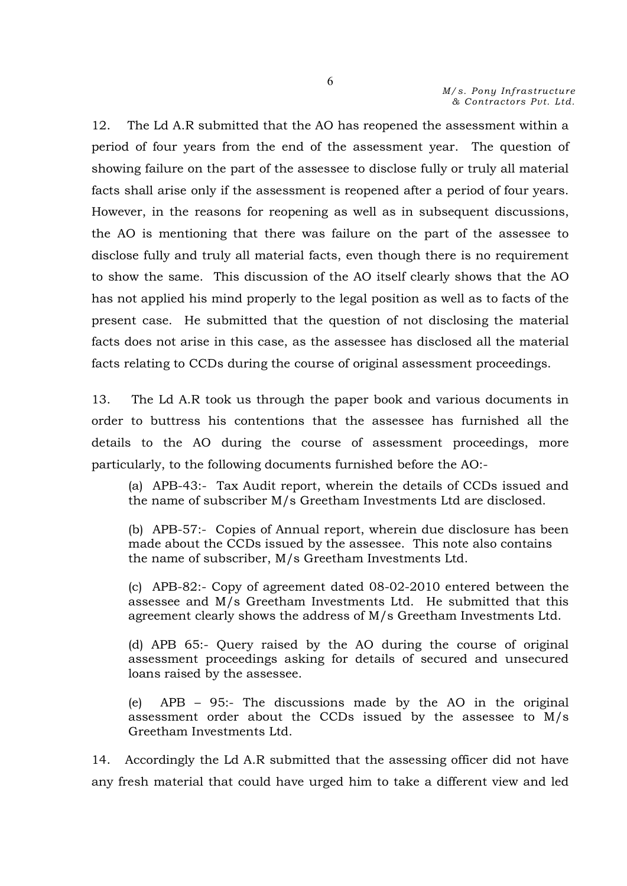12. The Ld A.R submitted that the AO has reopened the assessment within a period of four years from the end of the assessment year. The question of showing failure on the part of the assessee to disclose fully or truly all material facts shall arise only if the assessment is reopened after a period of four years. However, in the reasons for reopening as well as in subsequent discussions, the AO is mentioning that there was failure on the part of the assessee to disclose fully and truly all material facts, even though there is no requirement to show the same. This discussion of the AO itself clearly shows that the AO has not applied his mind properly to the legal position as well as to facts of the present case. He submitted that the question of not disclosing the material facts does not arise in this case, as the assessee has disclosed all the material facts relating to CCDs during the course of original assessment proceedings.

13. The Ld A.R took us through the paper book and various documents in order to buttress his contentions that the assessee has furnished all the details to the AO during the course of assessment proceedings, more particularly, to the following documents furnished before the AO:-

(a) APB-43:- Tax Audit report, wherein the details of CCDs issued and the name of subscriber M/s Greetham Investments Ltd are disclosed.

(b) APB-57:- Copies of Annual report, wherein due disclosure has been made about the CCDs issued by the assessee. This note also contains the name of subscriber, M/s Greetham Investments Ltd.

(c) APB-82:- Copy of agreement dated 08-02-2010 entered between the assessee and M/s Greetham Investments Ltd. He submitted that this agreement clearly shows the address of M/s Greetham Investments Ltd.

(d) APB 65:- Query raised by the AO during the course of original assessment proceedings asking for details of secured and unsecured loans raised by the assessee.

(e) APB – 95:- The discussions made by the AO in the original assessment order about the CCDs issued by the assessee to M/s Greetham Investments Ltd.

14. Accordingly the Ld A.R submitted that the assessing officer did not have any fresh material that could have urged him to take a different view and led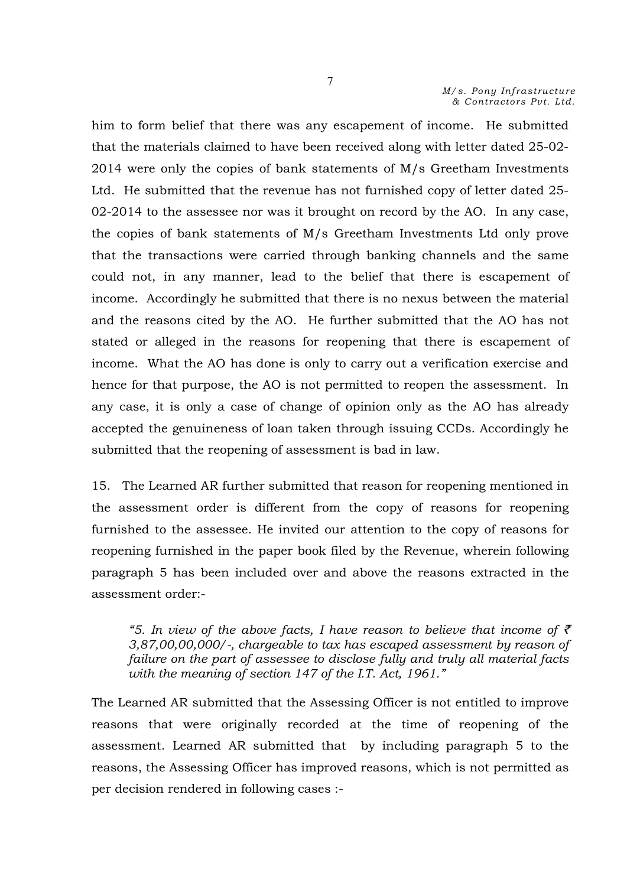him to form belief that there was any escapement of income. He submitted that the materials claimed to have been received along with letter dated 25-02- 2014 were only the copies of bank statements of M/s Greetham Investments Ltd. He submitted that the revenue has not furnished copy of letter dated 25- 02-2014 to the assessee nor was it brought on record by the AO. In any case, the copies of bank statements of M/s Greetham Investments Ltd only prove that the transactions were carried through banking channels and the same could not, in any manner, lead to the belief that there is escapement of income. Accordingly he submitted that there is no nexus between the material and the reasons cited by the AO. He further submitted that the AO has not stated or alleged in the reasons for reopening that there is escapement of income. What the AO has done is only to carry out a verification exercise and hence for that purpose, the AO is not permitted to reopen the assessment. In any case, it is only a case of change of opinion only as the AO has already accepted the genuineness of loan taken through issuing CCDs. Accordingly he submitted that the reopening of assessment is bad in law.

15. The Learned AR further submitted that reason for reopening mentioned in the assessment order is different from the copy of reasons for reopening furnished to the assessee. He invited our attention to the copy of reasons for reopening furnished in the paper book filed by the Revenue, wherein following paragraph 5 has been included over and above the reasons extracted in the assessment order:-

"5. In view of the above facts, I have reason to believe that income of  $\bar{\tau}$ *3,87,00,00,000/-, chargeable to tax has escaped assessment by reason of failure on the part of assessee to disclose fully and truly all material facts with the meaning of section 147 of the I.T. Act, 1961."* 

The Learned AR submitted that the Assessing Officer is not entitled to improve reasons that were originally recorded at the time of reopening of the assessment. Learned AR submitted that by including paragraph 5 to the reasons, the Assessing Officer has improved reasons, which is not permitted as per decision rendered in following cases :-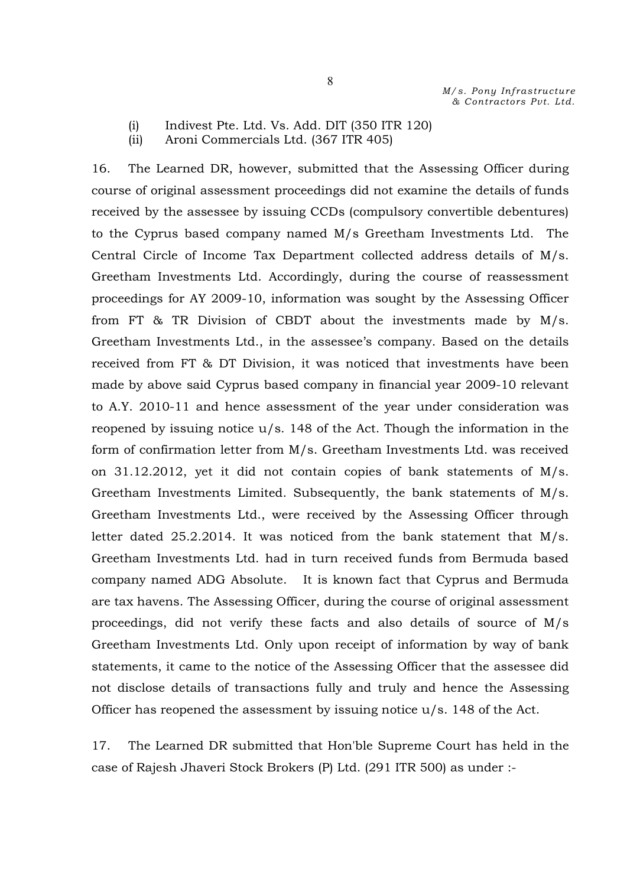- (i) Indivest Pte. Ltd. Vs. Add. DIT (350 ITR 120)
- (ii) Aroni Commercials Ltd. (367 ITR 405)

16. The Learned DR, however, submitted that the Assessing Officer during course of original assessment proceedings did not examine the details of funds received by the assessee by issuing CCDs (compulsory convertible debentures) to the Cyprus based company named M/s Greetham Investments Ltd. The Central Circle of Income Tax Department collected address details of M/s. Greetham Investments Ltd. Accordingly, during the course of reassessment proceedings for AY 2009-10, information was sought by the Assessing Officer from FT & TR Division of CBDT about the investments made by M/s. Greetham Investments Ltd., in the assessee's company. Based on the details received from FT & DT Division, it was noticed that investments have been made by above said Cyprus based company in financial year 2009-10 relevant to A.Y. 2010-11 and hence assessment of the year under consideration was reopened by issuing notice u/s. 148 of the Act. Though the information in the form of confirmation letter from M/s. Greetham Investments Ltd. was received on 31.12.2012, yet it did not contain copies of bank statements of M/s. Greetham Investments Limited. Subsequently, the bank statements of M/s. Greetham Investments Ltd., were received by the Assessing Officer through letter dated 25.2.2014. It was noticed from the bank statement that M/s. Greetham Investments Ltd. had in turn received funds from Bermuda based company named ADG Absolute. It is known fact that Cyprus and Bermuda are tax havens. The Assessing Officer, during the course of original assessment proceedings, did not verify these facts and also details of source of M/s Greetham Investments Ltd. Only upon receipt of information by way of bank statements, it came to the notice of the Assessing Officer that the assessee did not disclose details of transactions fully and truly and hence the Assessing Officer has reopened the assessment by issuing notice  $u/s$ . 148 of the Act.

17. The Learned DR submitted that Hon'ble Supreme Court has held in the case of Rajesh Jhaveri Stock Brokers (P) Ltd. (291 ITR 500) as under :-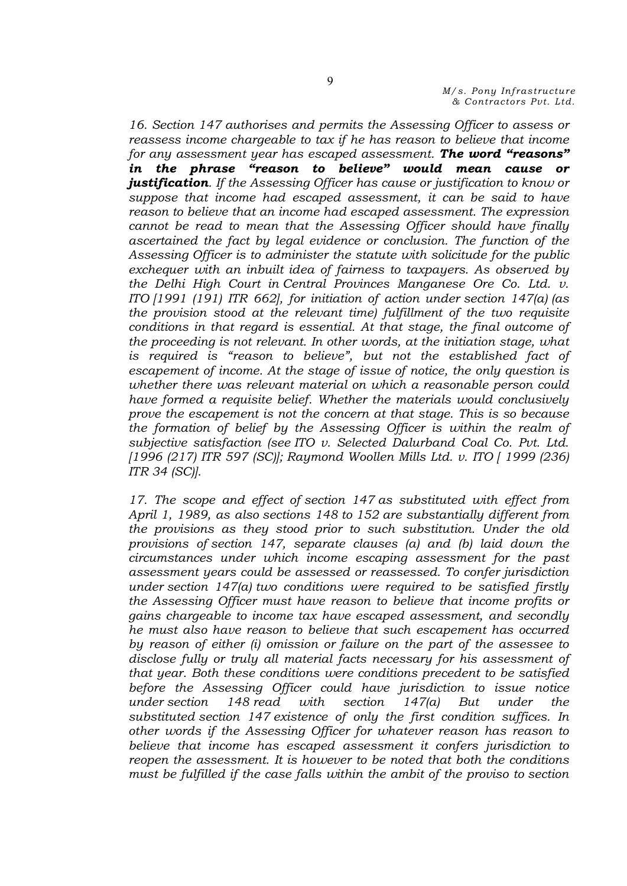*16. Section 147 authorises and permits the Assessing Officer to assess or reassess income chargeable to tax if he has reason to believe that income for any assessment year has escaped assessment. The word "reasons" in the phrase "reason to believe" would mean cause or justification. If the Assessing Officer has cause or justification to know or suppose that income had escaped assessment, it can be said to have reason to believe that an income had escaped assessment. The expression cannot be read to mean that the Assessing Officer should have finally ascertained the fact by legal evidence or conclusion. The function of the Assessing Officer is to administer the statute with solicitude for the public exchequer with an inbuilt idea of fairness to taxpayers. As observed by the Delhi High Court in Central Provinces Manganese Ore Co. Ltd. v. ITO [1991 (191) ITR 662], for initiation of action under section 147(a) (as the provision stood at the relevant time) fulfillment of the two requisite conditions in that regard is essential. At that stage, the final outcome of the proceeding is not relevant. In other words, at the initiation stage, what is required is "reason to believe", but not the established fact of escapement of income. At the stage of issue of notice, the only question is whether there was relevant material on which a reasonable person could have formed a requisite belief. Whether the materials would conclusively prove the escapement is not the concern at that stage. This is so because the formation of belief by the Assessing Officer is within the realm of subjective satisfaction (see ITO v. Selected Dalurband Coal Co. Pvt. Ltd. [1996 (217) ITR 597 (SC)]; Raymond Woollen Mills Ltd. v. ITO [ 1999 (236) ITR 34 (SC)].*

*17. The scope and effect of section 147 as substituted with effect from April 1, 1989, as also sections 148 to 152 are substantially different from the provisions as they stood prior to such substitution. Under the old provisions of section 147, separate clauses (a) and (b) laid down the circumstances under which income escaping assessment for the past assessment years could be assessed or reassessed. To confer jurisdiction under section 147(a) two conditions were required to be satisfied firstly the Assessing Officer must have reason to believe that income profits or gains chargeable to income tax have escaped assessment, and secondly he must also have reason to believe that such escapement has occurred by reason of either (i) omission or failure on the part of the assessee to disclose fully or truly all material facts necessary for his assessment of that year. Both these conditions were conditions precedent to be satisfied before the Assessing Officer could have jurisdiction to issue notice under section 148 read with section 147(a) But under the substituted section 147 existence of only the first condition suffices. In other words if the Assessing Officer for whatever reason has reason to believe that income has escaped assessment it confers jurisdiction to reopen the assessment. It is however to be noted that both the conditions must be fulfilled if the case falls within the ambit of the proviso to section*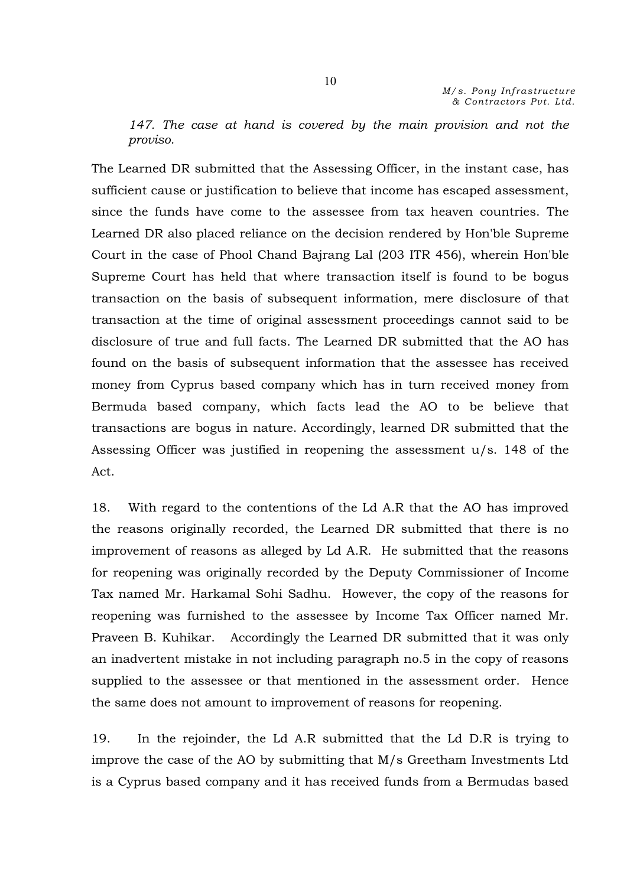*147. The case at hand is covered by the main provision and not the proviso.*

The Learned DR submitted that the Assessing Officer, in the instant case, has sufficient cause or justification to believe that income has escaped assessment, since the funds have come to the assessee from tax heaven countries. The Learned DR also placed reliance on the decision rendered by Hon'ble Supreme Court in the case of Phool Chand Bajrang Lal (203 ITR 456), wherein Hon'ble Supreme Court has held that where transaction itself is found to be bogus transaction on the basis of subsequent information, mere disclosure of that transaction at the time of original assessment proceedings cannot said to be disclosure of true and full facts. The Learned DR submitted that the AO has found on the basis of subsequent information that the assessee has received money from Cyprus based company which has in turn received money from Bermuda based company, which facts lead the AO to be believe that transactions are bogus in nature. Accordingly, learned DR submitted that the Assessing Officer was justified in reopening the assessment u/s. 148 of the Act.

18. With regard to the contentions of the Ld A.R that the AO has improved the reasons originally recorded, the Learned DR submitted that there is no improvement of reasons as alleged by Ld A.R. He submitted that the reasons for reopening was originally recorded by the Deputy Commissioner of Income Tax named Mr. Harkamal Sohi Sadhu. However, the copy of the reasons for reopening was furnished to the assessee by Income Tax Officer named Mr. Praveen B. Kuhikar. Accordingly the Learned DR submitted that it was only an inadvertent mistake in not including paragraph no.5 in the copy of reasons supplied to the assessee or that mentioned in the assessment order. Hence the same does not amount to improvement of reasons for reopening.

19. In the rejoinder, the Ld A.R submitted that the Ld D.R is trying to improve the case of the AO by submitting that M/s Greetham Investments Ltd is a Cyprus based company and it has received funds from a Bermudas based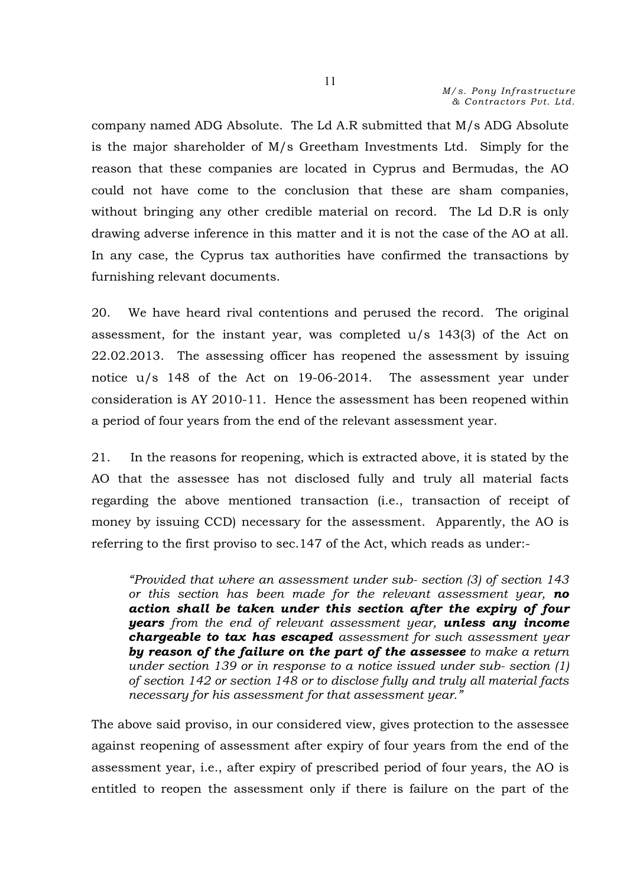company named ADG Absolute. The Ld A.R submitted that M/s ADG Absolute is the major shareholder of M/s Greetham Investments Ltd. Simply for the reason that these companies are located in Cyprus and Bermudas, the AO could not have come to the conclusion that these are sham companies, without bringing any other credible material on record. The Ld D.R is only drawing adverse inference in this matter and it is not the case of the AO at all. In any case, the Cyprus tax authorities have confirmed the transactions by furnishing relevant documents.

20. We have heard rival contentions and perused the record. The original assessment, for the instant year, was completed u/s 143(3) of the Act on 22.02.2013. The assessing officer has reopened the assessment by issuing notice u/s 148 of the Act on 19-06-2014. The assessment year under consideration is AY 2010-11. Hence the assessment has been reopened within a period of four years from the end of the relevant assessment year.

21. In the reasons for reopening, which is extracted above, it is stated by the AO that the assessee has not disclosed fully and truly all material facts regarding the above mentioned transaction (i.e., transaction of receipt of money by issuing CCD) necessary for the assessment. Apparently, the AO is referring to the first proviso to sec.147 of the Act, which reads as under:-

*"Provided that where an assessment under sub- section (3) of section 143 or this section has been made for the relevant assessment year, no action shall be taken under this section after the expiry of four years from the end of relevant assessment year, unless any income chargeable to tax has escaped assessment for such assessment year by reason of the failure on the part of the assessee to make a return under section 139 or in response to a notice issued under sub- section (1) of section 142 or section 148 or to disclose fully and truly all material facts necessary for his assessment for that assessment year."* 

The above said proviso, in our considered view, gives protection to the assessee against reopening of assessment after expiry of four years from the end of the assessment year, i.e., after expiry of prescribed period of four years, the AO is entitled to reopen the assessment only if there is failure on the part of the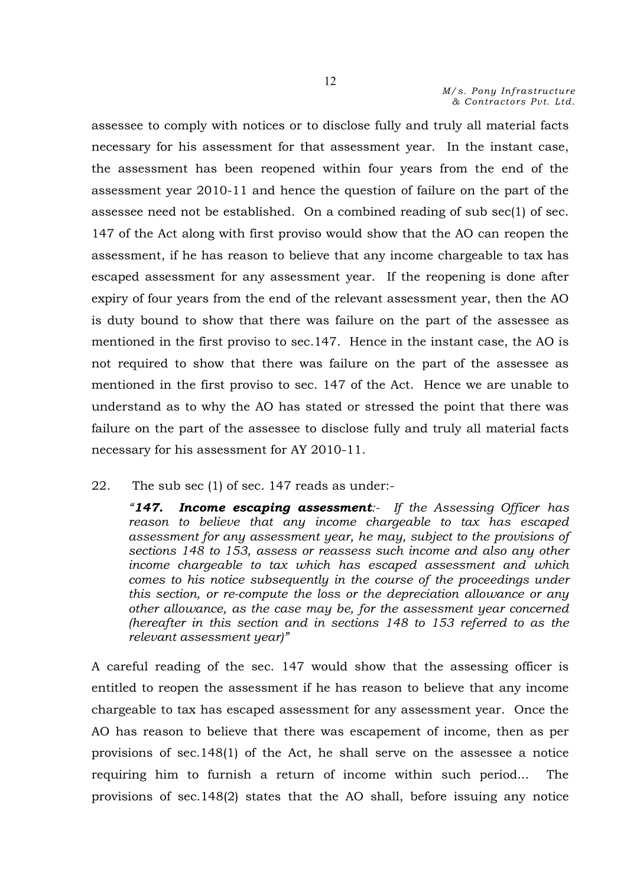assessee to comply with notices or to disclose fully and truly all material facts necessary for his assessment for that assessment year. In the instant case, the assessment has been reopened within four years from the end of the assessment year 2010-11 and hence the question of failure on the part of the assessee need not be established. On a combined reading of sub sec(1) of sec. 147 of the Act along with first proviso would show that the AO can reopen the assessment, if he has reason to believe that any income chargeable to tax has escaped assessment for any assessment year. If the reopening is done after expiry of four years from the end of the relevant assessment year, then the AO is duty bound to show that there was failure on the part of the assessee as mentioned in the first proviso to sec.147. Hence in the instant case, the AO is not required to show that there was failure on the part of the assessee as mentioned in the first proviso to sec. 147 of the Act. Hence we are unable to understand as to why the AO has stated or stressed the point that there was failure on the part of the assessee to disclose fully and truly all material facts necessary for his assessment for AY 2010-11.

22. The sub sec (1) of sec. 147 reads as under:-

*"147. Income escaping assessment:- If the Assessing Officer has reason to believe that any income chargeable to tax has escaped assessment for any assessment year, he may, subject to the provisions of sections 148 to 153, assess or reassess such income and also any other income chargeable to tax which has escaped assessment and which comes to his notice subsequently in the course of the proceedings under this section, or re-compute the loss or the depreciation allowance or any other allowance, as the case may be, for the assessment year concerned (hereafter in this section and in sections 148 to 153 referred to as the relevant assessment year)"*

A careful reading of the sec. 147 would show that the assessing officer is entitled to reopen the assessment if he has reason to believe that any income chargeable to tax has escaped assessment for any assessment year. Once the AO has reason to believe that there was escapement of income, then as per provisions of sec.148(1) of the Act, he shall serve on the assessee a notice requiring him to furnish a return of income within such period... The provisions of sec.148(2) states that the AO shall, before issuing any notice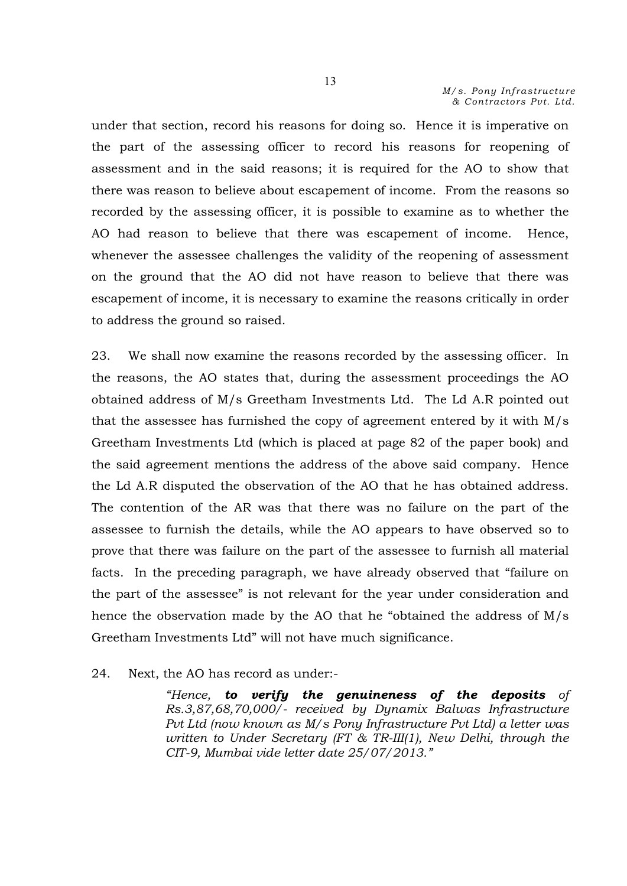under that section, record his reasons for doing so. Hence it is imperative on the part of the assessing officer to record his reasons for reopening of assessment and in the said reasons; it is required for the AO to show that there was reason to believe about escapement of income. From the reasons so recorded by the assessing officer, it is possible to examine as to whether the AO had reason to believe that there was escapement of income. Hence, whenever the assessee challenges the validity of the reopening of assessment on the ground that the AO did not have reason to believe that there was escapement of income, it is necessary to examine the reasons critically in order to address the ground so raised.

23. We shall now examine the reasons recorded by the assessing officer. In the reasons, the AO states that, during the assessment proceedings the AO obtained address of M/s Greetham Investments Ltd. The Ld A.R pointed out that the assessee has furnished the copy of agreement entered by it with M/s Greetham Investments Ltd (which is placed at page 82 of the paper book) and the said agreement mentions the address of the above said company. Hence the Ld A.R disputed the observation of the AO that he has obtained address. The contention of the AR was that there was no failure on the part of the assessee to furnish the details, while the AO appears to have observed so to prove that there was failure on the part of the assessee to furnish all material facts. In the preceding paragraph, we have already observed that "failure on the part of the assessee" is not relevant for the year under consideration and hence the observation made by the AO that he "obtained the address of M/s Greetham Investments Ltd" will not have much significance.

#### 24. Next, the AO has record as under:-

*"Hence, to verify the genuineness of the deposits of Rs.3,87,68,70,000/- received by Dynamix Balwas Infrastructure Pvt Ltd (now known as M/s Pony Infrastructure Pvt Ltd) a letter was written to Under Secretary (FT & TR-III(1), New Delhi, through the CIT-9, Mumbai vide letter date 25/07/2013."*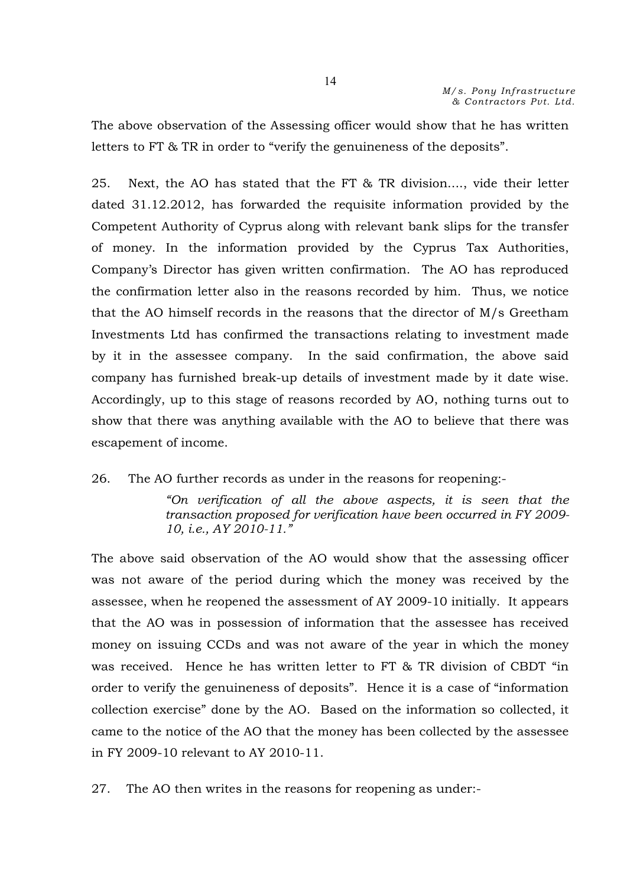The above observation of the Assessing officer would show that he has written letters to FT & TR in order to "verify the genuineness of the deposits".

25. Next, the AO has stated that the FT & TR division...., vide their letter dated 31.12.2012, has forwarded the requisite information provided by the Competent Authority of Cyprus along with relevant bank slips for the transfer of money. In the information provided by the Cyprus Tax Authorities, Company's Director has given written confirmation. The AO has reproduced the confirmation letter also in the reasons recorded by him. Thus, we notice that the AO himself records in the reasons that the director of M/s Greetham Investments Ltd has confirmed the transactions relating to investment made by it in the assessee company. In the said confirmation, the above said company has furnished break-up details of investment made by it date wise. Accordingly, up to this stage of reasons recorded by AO, nothing turns out to show that there was anything available with the AO to believe that there was escapement of income.

26. The AO further records as under in the reasons for reopening:-

*"On verification of all the above aspects, it is seen that the transaction proposed for verification have been occurred in FY 2009- 10, i.e., AY 2010-11."*

The above said observation of the AO would show that the assessing officer was not aware of the period during which the money was received by the assessee, when he reopened the assessment of AY 2009-10 initially. It appears that the AO was in possession of information that the assessee has received money on issuing CCDs and was not aware of the year in which the money was received. Hence he has written letter to FT & TR division of CBDT "in order to verify the genuineness of deposits". Hence it is a case of "information collection exercise" done by the AO. Based on the information so collected, it came to the notice of the AO that the money has been collected by the assessee in FY 2009-10 relevant to AY 2010-11.

27. The AO then writes in the reasons for reopening as under:-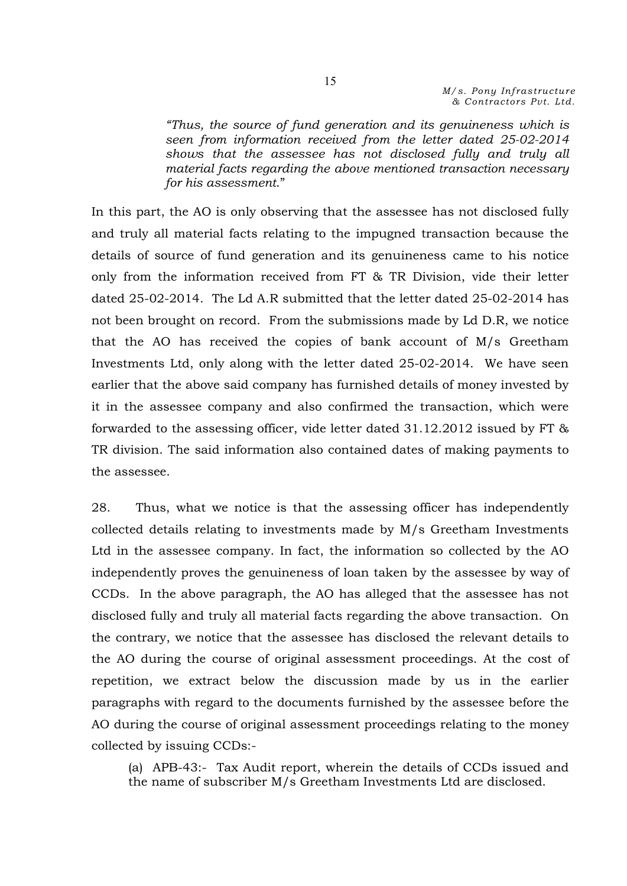*"Thus, the source of fund generation and its genuineness which is seen from information received from the letter dated 25-02-2014 shows that the assessee has not disclosed fully and truly all material facts regarding the above mentioned transaction necessary for his assessment*."

In this part, the AO is only observing that the assessee has not disclosed fully and truly all material facts relating to the impugned transaction because the details of source of fund generation and its genuineness came to his notice only from the information received from FT & TR Division, vide their letter dated 25-02-2014. The Ld A.R submitted that the letter dated 25-02-2014 has not been brought on record. From the submissions made by Ld D.R, we notice that the AO has received the copies of bank account of M/s Greetham Investments Ltd, only along with the letter dated 25-02-2014. We have seen earlier that the above said company has furnished details of money invested by it in the assessee company and also confirmed the transaction, which were forwarded to the assessing officer, vide letter dated 31.12.2012 issued by FT & TR division. The said information also contained dates of making payments to the assessee.

28. Thus, what we notice is that the assessing officer has independently collected details relating to investments made by M/s Greetham Investments Ltd in the assessee company. In fact, the information so collected by the AO independently proves the genuineness of loan taken by the assessee by way of CCDs. In the above paragraph, the AO has alleged that the assessee has not disclosed fully and truly all material facts regarding the above transaction. On the contrary, we notice that the assessee has disclosed the relevant details to the AO during the course of original assessment proceedings. At the cost of repetition, we extract below the discussion made by us in the earlier paragraphs with regard to the documents furnished by the assessee before the AO during the course of original assessment proceedings relating to the money collected by issuing CCDs:-

(a) APB-43:- Tax Audit report, wherein the details of CCDs issued and the name of subscriber M/s Greetham Investments Ltd are disclosed.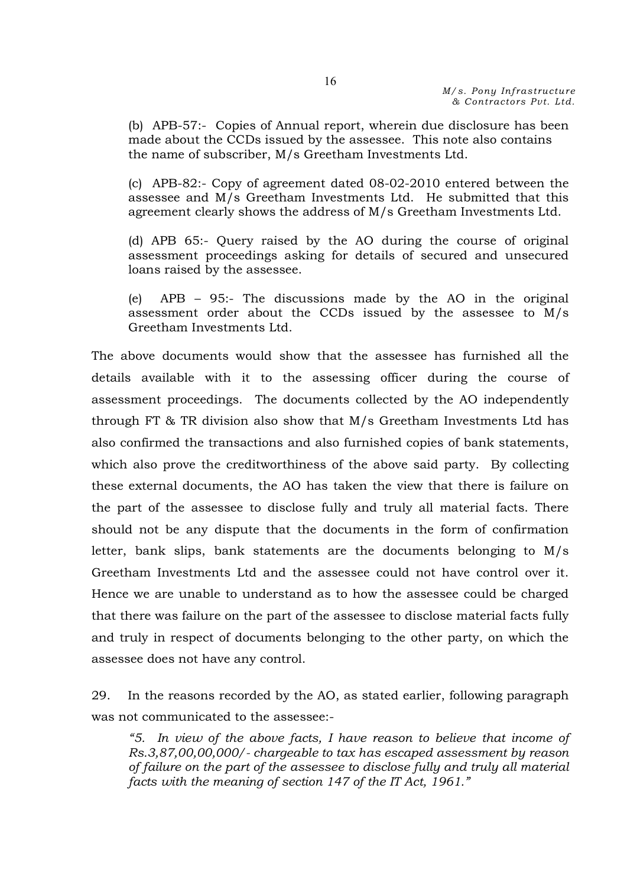(b) APB-57:- Copies of Annual report, wherein due disclosure has been made about the CCDs issued by the assessee. This note also contains the name of subscriber, M/s Greetham Investments Ltd.

(c) APB-82:- Copy of agreement dated 08-02-2010 entered between the assessee and M/s Greetham Investments Ltd. He submitted that this agreement clearly shows the address of M/s Greetham Investments Ltd.

(d) APB 65:- Query raised by the AO during the course of original assessment proceedings asking for details of secured and unsecured loans raised by the assessee.

(e) APB – 95:- The discussions made by the AO in the original assessment order about the CCDs issued by the assessee to M/s Greetham Investments Ltd.

The above documents would show that the assessee has furnished all the details available with it to the assessing officer during the course of assessment proceedings. The documents collected by the AO independently through FT & TR division also show that M/s Greetham Investments Ltd has also confirmed the transactions and also furnished copies of bank statements, which also prove the creditworthiness of the above said party. By collecting these external documents, the AO has taken the view that there is failure on the part of the assessee to disclose fully and truly all material facts. There should not be any dispute that the documents in the form of confirmation letter, bank slips, bank statements are the documents belonging to M/s Greetham Investments Ltd and the assessee could not have control over it. Hence we are unable to understand as to how the assessee could be charged that there was failure on the part of the assessee to disclose material facts fully and truly in respect of documents belonging to the other party, on which the assessee does not have any control.

29. In the reasons recorded by the AO, as stated earlier, following paragraph was not communicated to the assessee:-

*"5. In view of the above facts, I have reason to believe that income of Rs.3,87,00,00,000/- chargeable to tax has escaped assessment by reason of failure on the part of the assessee to disclose fully and truly all material facts with the meaning of section 147 of the IT Act, 1961."*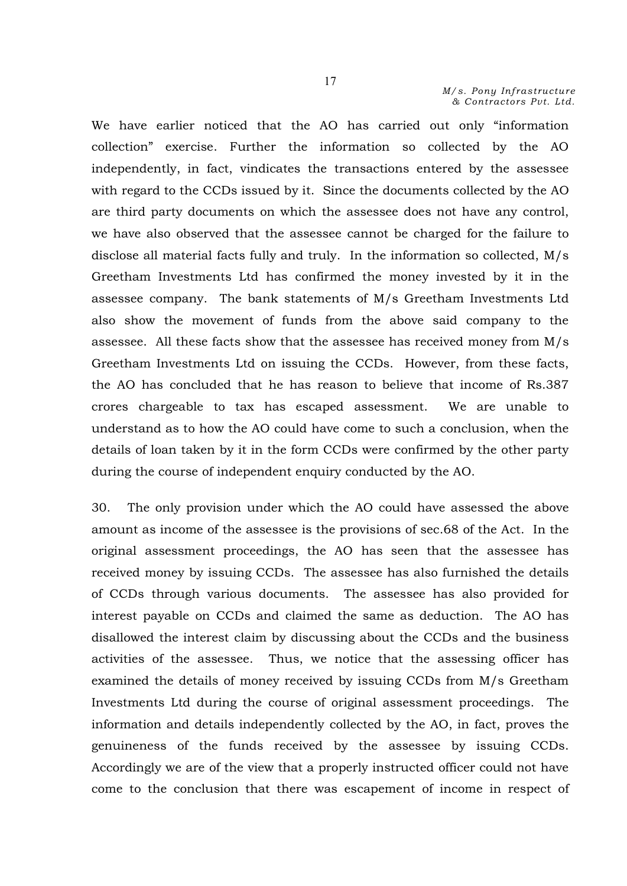We have earlier noticed that the AO has carried out only "information collection" exercise. Further the information so collected by the AO independently, in fact, vindicates the transactions entered by the assessee with regard to the CCDs issued by it. Since the documents collected by the AO are third party documents on which the assessee does not have any control, we have also observed that the assessee cannot be charged for the failure to disclose all material facts fully and truly. In the information so collected, M/s Greetham Investments Ltd has confirmed the money invested by it in the assessee company. The bank statements of M/s Greetham Investments Ltd also show the movement of funds from the above said company to the assessee. All these facts show that the assessee has received money from M/s Greetham Investments Ltd on issuing the CCDs. However, from these facts, the AO has concluded that he has reason to believe that income of Rs.387 crores chargeable to tax has escaped assessment. We are unable to understand as to how the AO could have come to such a conclusion, when the details of loan taken by it in the form CCDs were confirmed by the other party during the course of independent enquiry conducted by the AO.

30. The only provision under which the AO could have assessed the above amount as income of the assessee is the provisions of sec.68 of the Act. In the original assessment proceedings, the AO has seen that the assessee has received money by issuing CCDs. The assessee has also furnished the details of CCDs through various documents. The assessee has also provided for interest payable on CCDs and claimed the same as deduction. The AO has disallowed the interest claim by discussing about the CCDs and the business activities of the assessee. Thus, we notice that the assessing officer has examined the details of money received by issuing CCDs from M/s Greetham Investments Ltd during the course of original assessment proceedings. The information and details independently collected by the AO, in fact, proves the genuineness of the funds received by the assessee by issuing CCDs. Accordingly we are of the view that a properly instructed officer could not have come to the conclusion that there was escapement of income in respect of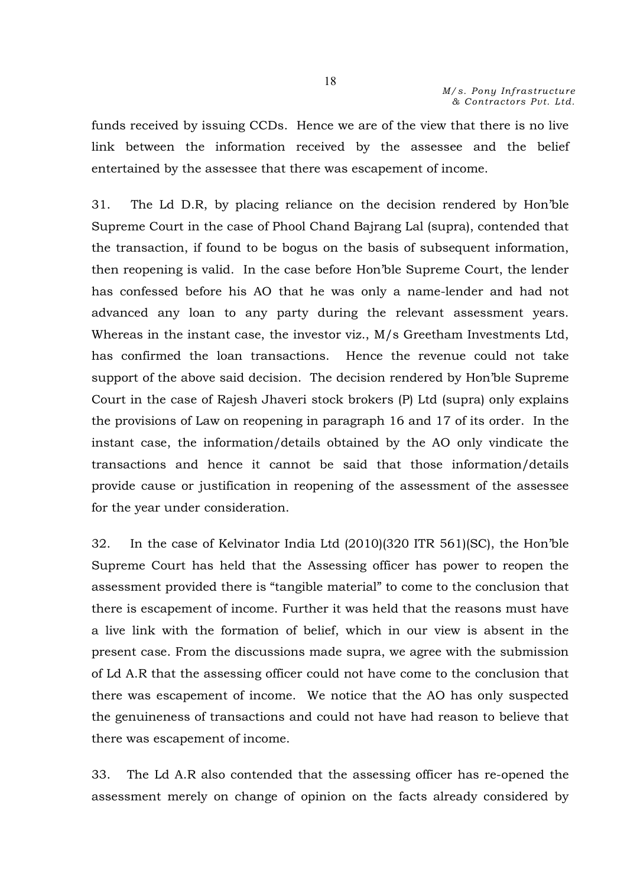funds received by issuing CCDs. Hence we are of the view that there is no live link between the information received by the assessee and the belief entertained by the assessee that there was escapement of income.

31. The Ld D.R, by placing reliance on the decision rendered by Hon'ble Supreme Court in the case of Phool Chand Bajrang Lal (supra), contended that the transaction, if found to be bogus on the basis of subsequent information, then reopening is valid. In the case before Hon'ble Supreme Court, the lender has confessed before his AO that he was only a name-lender and had not advanced any loan to any party during the relevant assessment years. Whereas in the instant case, the investor viz., M/s Greetham Investments Ltd, has confirmed the loan transactions. Hence the revenue could not take support of the above said decision. The decision rendered by Hon'ble Supreme Court in the case of Rajesh Jhaveri stock brokers (P) Ltd (supra) only explains the provisions of Law on reopening in paragraph 16 and 17 of its order. In the instant case, the information/details obtained by the AO only vindicate the transactions and hence it cannot be said that those information/details provide cause or justification in reopening of the assessment of the assessee for the year under consideration.

32. In the case of Kelvinator India Ltd (2010)(320 ITR 561)(SC), the Hon'ble Supreme Court has held that the Assessing officer has power to reopen the assessment provided there is "tangible material" to come to the conclusion that there is escapement of income. Further it was held that the reasons must have a live link with the formation of belief, which in our view is absent in the present case. From the discussions made supra, we agree with the submission of Ld A.R that the assessing officer could not have come to the conclusion that there was escapement of income. We notice that the AO has only suspected the genuineness of transactions and could not have had reason to believe that there was escapement of income.

33. The Ld A.R also contended that the assessing officer has re-opened the assessment merely on change of opinion on the facts already considered by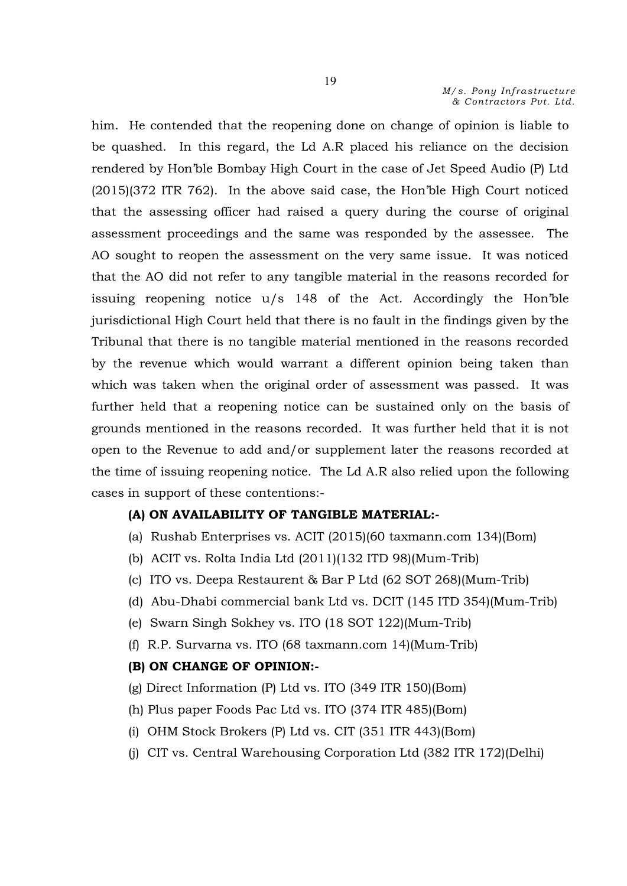him. He contended that the reopening done on change of opinion is liable to be quashed. In this regard, the Ld A.R placed his reliance on the decision rendered by Hon'ble Bombay High Court in the case of Jet Speed Audio (P) Ltd (2015)(372 ITR 762). In the above said case, the Hon'ble High Court noticed that the assessing officer had raised a query during the course of original assessment proceedings and the same was responded by the assessee. The AO sought to reopen the assessment on the very same issue. It was noticed that the AO did not refer to any tangible material in the reasons recorded for issuing reopening notice u/s 148 of the Act. Accordingly the Hon'ble jurisdictional High Court held that there is no fault in the findings given by the Tribunal that there is no tangible material mentioned in the reasons recorded by the revenue which would warrant a different opinion being taken than which was taken when the original order of assessment was passed. It was further held that a reopening notice can be sustained only on the basis of grounds mentioned in the reasons recorded. It was further held that it is not open to the Revenue to add and/or supplement later the reasons recorded at the time of issuing reopening notice. The Ld A.R also relied upon the following cases in support of these contentions:-

# (A) ON AVAILABILITY OF TANGIBLE MATERIAL:-

- (a) Rushab Enterprises vs. ACIT (2015)(60 taxmann.com 134)(Bom)
- (b) ACIT vs. Rolta India Ltd (2011)(132 ITD 98)(Mum-Trib)
- (c) ITO vs. Deepa Restaurent & Bar P Ltd (62 SOT 268)(Mum-Trib)
- (d) Abu-Dhabi commercial bank Ltd vs. DCIT (145 ITD 354)(Mum-Trib)
- (e) Swarn Singh Sokhey vs. ITO (18 SOT 122)(Mum-Trib)
- (f) R.P. Survarna vs. ITO (68 taxmann.com 14)(Mum-Trib)

### (B) ON CHANGE OF OPINION:-

- (g) Direct Information (P) Ltd vs. ITO (349 ITR 150)(Bom)
- (h) Plus paper Foods Pac Ltd vs. ITO (374 ITR 485)(Bom)
- (i) OHM Stock Brokers (P) Ltd vs. CIT (351 ITR 443)(Bom)
- (j) CIT vs. Central Warehousing Corporation Ltd (382 ITR 172)(Delhi)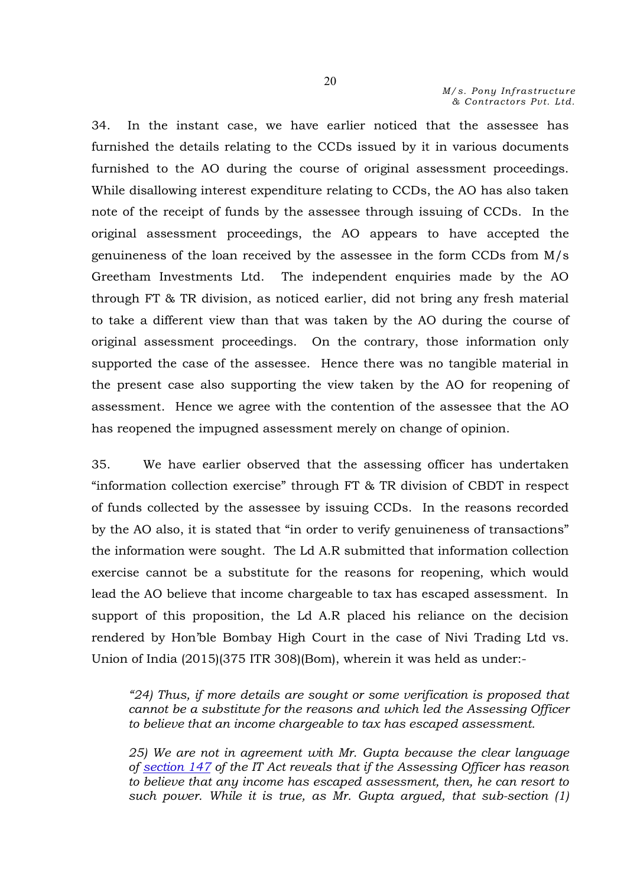34. In the instant case, we have earlier noticed that the assessee has furnished the details relating to the CCDs issued by it in various documents furnished to the AO during the course of original assessment proceedings. While disallowing interest expenditure relating to CCDs, the AO has also taken note of the receipt of funds by the assessee through issuing of CCDs. In the original assessment proceedings, the AO appears to have accepted the genuineness of the loan received by the assessee in the form CCDs from M/s Greetham Investments Ltd. The independent enquiries made by the AO through FT & TR division, as noticed earlier, did not bring any fresh material to take a different view than that was taken by the AO during the course of original assessment proceedings. On the contrary, those information only supported the case of the assessee. Hence there was no tangible material in the present case also supporting the view taken by the AO for reopening of assessment. Hence we agree with the contention of the assessee that the AO has reopened the impugned assessment merely on change of opinion.

35. We have earlier observed that the assessing officer has undertaken "information collection exercise" through FT & TR division of CBDT in respect of funds collected by the assessee by issuing CCDs. In the reasons recorded by the AO also, it is stated that "in order to verify genuineness of transactions" the information were sought. The Ld A.R submitted that information collection exercise cannot be a substitute for the reasons for reopening, which would lead the AO believe that income chargeable to tax has escaped assessment. In support of this proposition, the Ld A.R placed his reliance on the decision rendered by Hon'ble Bombay High Court in the case of Nivi Trading Ltd vs. Union of India (2015)(375 ITR 308)(Bom), wherein it was held as under:-

*"24) Thus, if more details are sought or some verification is proposed that cannot be a substitute for the reasons and which led the Assessing Officer to believe that an income chargeable to tax has escaped assessment.*

*25) We are not in agreement with Mr. Gupta because the clear language of section 147 of the IT Act reveals that if the Assessing Officer has reason to believe that any income has escaped assessment, then, he can resort to such power. While it is true, as Mr. Gupta argued, that sub-section (1)*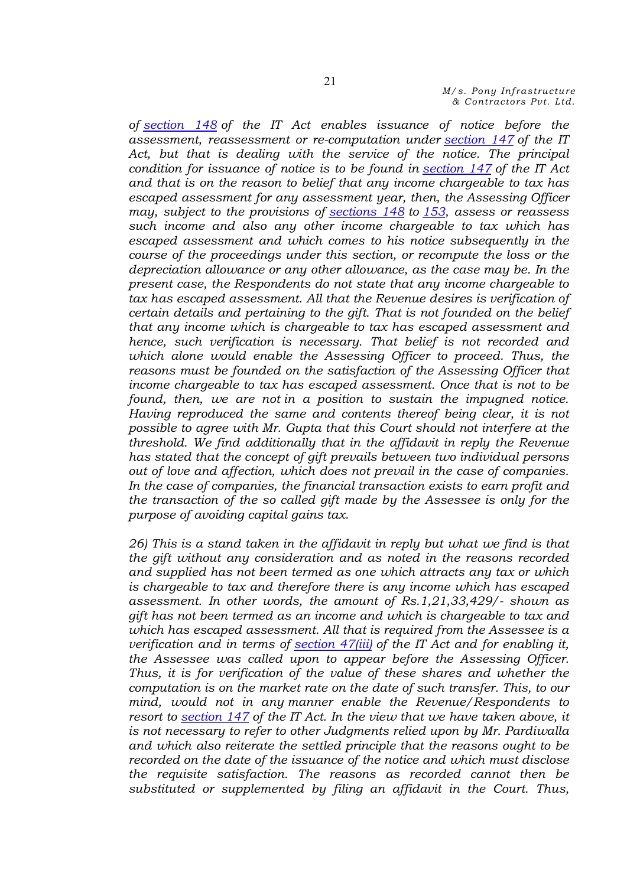*of section 148 of the IT Act enables issuance of notice before the assessment, reassessment or re-computation under section 147 of the IT Act, but that is dealing with the service of the notice. The principal condition for issuance of notice is to be found in section 147 of the IT Act and that is on the reason to belief that any income chargeable to tax has escaped assessment for any assessment year, then, the Assessing Officer may, subject to the provisions of sections 148 to 153, assess or reassess such income and also any other income chargeable to tax which has escaped assessment and which comes to his notice subsequently in the course of the proceedings under this section, or recompute the loss or the depreciation allowance or any other allowance, as the case may be. In the present case, the Respondents do not state that any income chargeable to tax has escaped assessment. All that the Revenue desires is verification of certain details and pertaining to the gift. That is not founded on the belief that any income which is chargeable to tax has escaped assessment and hence, such verification is necessary. That belief is not recorded and*  which alone would enable the Assessing Officer to proceed. Thus, the *reasons must be founded on the satisfaction of the Assessing Officer that income chargeable to tax has escaped assessment. Once that is not to be found, then, we are not in a position to sustain the impugned notice. Having reproduced the same and contents thereof being clear, it is not possible to agree with Mr. Gupta that this Court should not interfere at the threshold. We find additionally that in the affidavit in reply the Revenue has stated that the concept of gift prevails between two individual persons out of love and affection, which does not prevail in the case of companies. In the case of companies, the financial transaction exists to earn profit and the transaction of the so called gift made by the Assessee is only for the purpose of avoiding capital gains tax.*

*26) This is a stand taken in the affidavit in reply but what we find is that the gift without any consideration and as noted in the reasons recorded and supplied has not been termed as one which attracts any tax or which is chargeable to tax and therefore there is any income which has escaped assessment. In other words, the amount of Rs.1,21,33,429/- shown as gift has not been termed as an income and which is chargeable to tax and which has escaped assessment. All that is required from the Assessee is a verification and in terms of section 47(iii) of the IT Act and for enabling it, the Assessee was called upon to appear before the Assessing Officer. Thus, it is for verification of the value of these shares and whether the computation is on the market rate on the date of such transfer. This, to our mind, would not in any manner enable the Revenue/Respondents to resort to section 147 of the IT Act. In the view that we have taken above, it is not necessary to refer to other Judgments relied upon by Mr. Pardiwalla and which also reiterate the settled principle that the reasons ought to be recorded on the date of the issuance of the notice and which must disclose the requisite satisfaction. The reasons as recorded cannot then be substituted or supplemented by filing an affidavit in the Court. Thus,*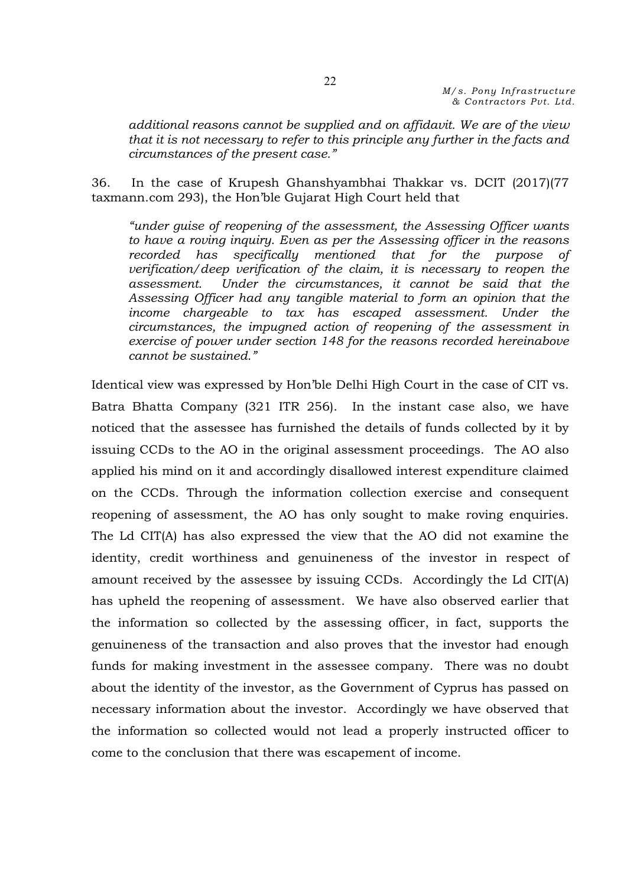*additional reasons cannot be supplied and on affidavit. We are of the view that it is not necessary to refer to this principle any further in the facts and circumstances of the present case."*

36. In the case of Krupesh Ghanshyambhai Thakkar vs. DCIT (2017)(77 taxmann.com 293), the Hon'ble Gujarat High Court held that

*"under guise of reopening of the assessment, the Assessing Officer wants to have a roving inquiry. Even as per the Assessing officer in the reasons recorded has specifically mentioned that for the purpose of verification/deep verification of the claim, it is necessary to reopen the assessment. Under the circumstances, it cannot be said that the Assessing Officer had any tangible material to form an opinion that the income chargeable to tax has escaped assessment. Under the circumstances, the impugned action of reopening of the assessment in exercise of power under section 148 for the reasons recorded hereinabove cannot be sustained."* 

Identical view was expressed by Hon'ble Delhi High Court in the case of CIT vs. Batra Bhatta Company (321 ITR 256). In the instant case also, we have noticed that the assessee has furnished the details of funds collected by it by issuing CCDs to the AO in the original assessment proceedings. The AO also applied his mind on it and accordingly disallowed interest expenditure claimed on the CCDs. Through the information collection exercise and consequent reopening of assessment, the AO has only sought to make roving enquiries. The Ld CIT(A) has also expressed the view that the AO did not examine the identity, credit worthiness and genuineness of the investor in respect of amount received by the assessee by issuing CCDs. Accordingly the Ld CIT(A) has upheld the reopening of assessment. We have also observed earlier that the information so collected by the assessing officer, in fact, supports the genuineness of the transaction and also proves that the investor had enough funds for making investment in the assessee company. There was no doubt about the identity of the investor, as the Government of Cyprus has passed on necessary information about the investor. Accordingly we have observed that the information so collected would not lead a properly instructed officer to come to the conclusion that there was escapement of income.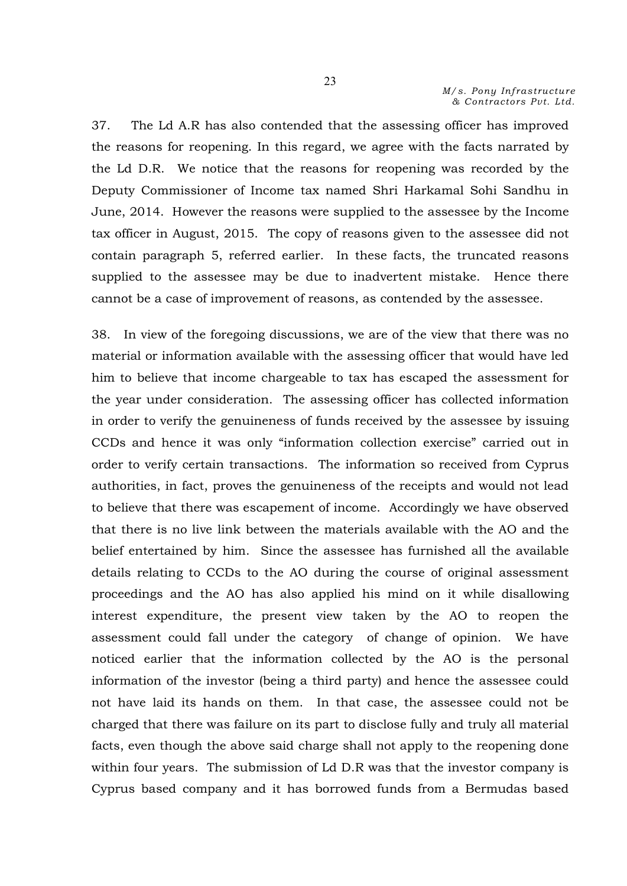37. The Ld A.R has also contended that the assessing officer has improved the reasons for reopening. In this regard, we agree with the facts narrated by the Ld D.R. We notice that the reasons for reopening was recorded by the Deputy Commissioner of Income tax named Shri Harkamal Sohi Sandhu in June, 2014. However the reasons were supplied to the assessee by the Income tax officer in August, 2015. The copy of reasons given to the assessee did not contain paragraph 5, referred earlier. In these facts, the truncated reasons supplied to the assessee may be due to inadvertent mistake. Hence there cannot be a case of improvement of reasons, as contended by the assessee.

38. In view of the foregoing discussions, we are of the view that there was no material or information available with the assessing officer that would have led him to believe that income chargeable to tax has escaped the assessment for the year under consideration. The assessing officer has collected information in order to verify the genuineness of funds received by the assessee by issuing CCDs and hence it was only "information collection exercise" carried out in order to verify certain transactions. The information so received from Cyprus authorities, in fact, proves the genuineness of the receipts and would not lead to believe that there was escapement of income. Accordingly we have observed that there is no live link between the materials available with the AO and the belief entertained by him. Since the assessee has furnished all the available details relating to CCDs to the AO during the course of original assessment proceedings and the AO has also applied his mind on it while disallowing interest expenditure, the present view taken by the AO to reopen the assessment could fall under the category of change of opinion. We have noticed earlier that the information collected by the AO is the personal information of the investor (being a third party) and hence the assessee could not have laid its hands on them. In that case, the assessee could not be charged that there was failure on its part to disclose fully and truly all material facts, even though the above said charge shall not apply to the reopening done within four years. The submission of Ld D.R was that the investor company is Cyprus based company and it has borrowed funds from a Bermudas based